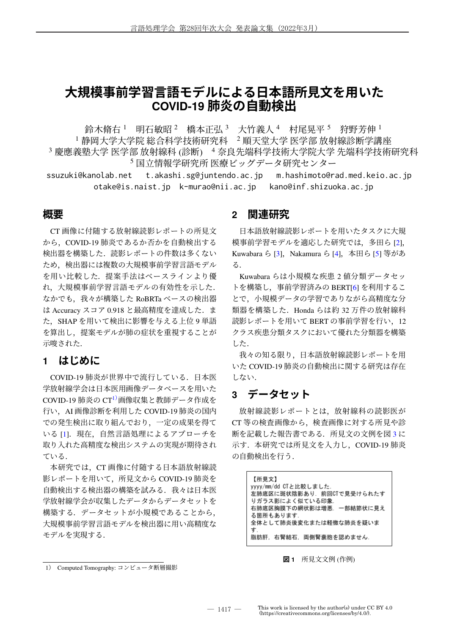# **大規模事前学習言語モデルによる日本語所見文を用いた COVID-19 肺炎の自動検出**

鈴木脩右 <sup>1</sup> 明石敏昭 <sup>2</sup> 橋本正弘 <sup>3</sup> 大竹義人 <sup>4</sup> 村尾晃平 <sup>5</sup> 狩野芳伸 <sup>1</sup> 静岡大学大学院 総合科学技術研究科 2 順天堂大学 医学部 放射線診断学講座 慶應義塾大学 医学部 放射線科 (診断) 4 奈良先端科学技術大学院大学 先端科学技術研究科 国立情報学研究所 医療ビッグデータ研究センター

ssuzuki@kanolab.net t.akashi.sg@juntendo.ac.jp m.hashimoto@rad.med.keio.ac.jp otake@is.naist.jp k-murao@nii.ac.jp kano@inf.shizuoka.ac.jp

### **概要**

CT 画像に付随する放射線読影レポートの所見文 から、COVID-19 肺炎であるか否かを自動検出する 検出器を構築した.読影レポートの件数は多くない ため,検出器には複数の大規模事前学習言語モデル を用い比較した.提案手法はベースラインより優 れ,大規模事前学習言語モデルの有効性を示した. なかでも、我々が構築した RoBRTa ベースの検出器 は Accuracy スコア 0.918 と最高精度を達成した. ま た、SHAP を用いて検出に影響を与える上位9単語 を算出し,提案モデルが肺の症状を重視することが 示唆された.

## **1 はじめに**

COVID-19 肺炎が世界中で流行している.日本医 学放射線学会は日本医用画像データベースを用いた COVID-19 肺炎の CT1)画像収集と教師データ作成を 行い,AI 画像診断を利用した COVID-19 肺炎の国内 での発生検出に取り組んでおり,一定の成果を得て いる [1]. 現在、自然言語処理によるアプローチを 取り入れた高精度な検出システムの実現が期待され ている.

 本研究では,CT 画像に付随する日本語放射線読 影レポートを用いて,所見文から COVID-19 肺炎を 自動検出する検出器の構築を試みる. 我々は日本医 学放射線学会が収集したデータからデータセットを 構築する.データセットが小規模であることから, 大規模事前学習言語モデルを検出器に用い高精度な モデルを実現する.

### **2 関連研究**

日本語放射線読影レポートを用いたタスクに大規 模事前学習モデルを適応した研究では,多田ら [2], Kuwabara ら [3], Nakamura ら [4], 本田ら [5] 等があ る.

Kuwabara らは小規模な疾患 2 値分類データセッ トを構築し、事前学習済みの BERT[6] を利用するこ とで,小規模データの学習でありながら高精度な分 類器を構築した.Honda らは約 32 万件の放射線科 読影レポートを用いて BERT の事前学習を行い. 12 クラス疾患分類タスクにおいて優れた分類器を構築 した.

 我々の知る限り,日本語放射線読影レポートを用 いた COVID-19 肺炎の自動検出に関する研究は存在 しない.

## **3 データセット**

放射線読影レポートとは,放射線科の読影医が CT 等の検査画像から,検査画像に対する所見や診 断を記載した報告書である.所見文の文例を図 3 に 示す. 本研究では所見文を入力し, COVID-19 肺炎 の自動検出を行う.

> 【所見文】 yyyy/mm/dd CTと比較しました. …<br>左肺底区に斑状陰影あり. 前回CTで見受けられたす りガラス影によく似ている印象. 右肺底区胸膜下の網状影は増悪. 一部結節状に見え る箇所もあります 全体として肺炎後変化または軽微な肺炎を疑いま す 脂肪肝, 右腎結石, 両側腎嚢胞を認めません.

#### **図 1** 所見文文例 (作例)

<sup>1</sup>) Computed Tomography: コンピュータ断層撮影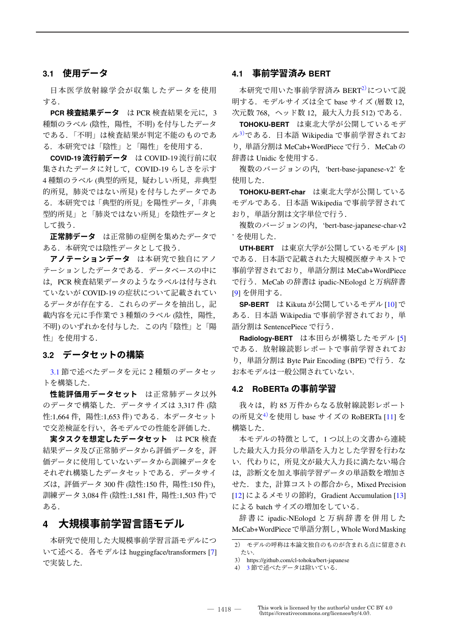#### **3.1 使用データ**

日本医学放射線学会が収集したデータを使用 する.

**PCR 検査結果データ** は PCR 検査結果を元に,3 種類のラベル (陰性, 陽性, 不明) を付与したデータ である.「不明」は検査結果が判定不能のものであ る.本研究では「陰性」と「陽性」を使用する.

**COVID-19 流行前データ** は COVID-19 流行前に収 集されたデータに対して, COVID-19 らしさを示す 4種類のラベル(典型的所見,疑わしい所見,非典型 的所見,肺炎ではない所見) を付与したデータであ る.本研究では「典型的所見」を陽性データ,「非典 型的所見」と「肺炎ではない所見」を陰性データと して扱う.

**正常肺データ** は正常肺の症例を集めたデータで ある. 本研究では陰性データとして扱う.

**アノテーションデータ** は本研究で独自にアノ テーションしたデータである.データベースの中に は,PCR 検査結果データのようなラベルは付与され ていないが COVID-19 の症状について記載されてい るデータが存在する. これらのデータを抽出し、記 載内容を元に手作業で3種類のラベル(陰性, 陽性, 不明) のいずれかを付与した.この内「陰性」と「陽 性」を使用する.

#### **3.2 データセットの構築**

3.1 節で述べたデータを元に 2 種類のデータセッ トを構築した.

**性能評価用データセット** は正常肺データ以外 のデータで構築した.データサイズは 3,317 件 (陰 性:1,664件, 陽性:1,653件) である. 本データセット で交差検証を行い,各モデルでの性能を評価した.

**実タスクを想定したデータセット** は PCR 検査 結果データ及び正常肺データから評価データを、評 価データに使用していないデータから訓練データを それぞれ構築したデータセットである.データサイ ズは,評価データ 300 件 (陰性:150 件,陽性:150 件), 訓練データ 3,084 件 (陰性:1,581 件,陽性:1,503 件) で ある.

### **4 大規模事前学習言語モデル**

本研究で使用した大規模事前学習言語モデルにつ いて述べる.各モデルは huggingface/transformers [7] で実装した.

#### **4.1 事前学習済み BERT**

本研究で用いた事前学習済み BERT<sup>2)</sup>について説 明する.モデルサイズは全て base サイズ (層数 12, 次元数 768,ヘッド数 12,最大入力長 512) である.

**TOHOKU-BERT** は東北大学が公開しているモデ ル3)である.日本語 Wikipedia で事前学習されてお り,単語分割は MeCab+WordPiece で行う.MeCab の 辞書は Unidic を使用する.

複数のバージョンの内, 'bert-base-japanese-v2' を 使用した.

**TOHOKU-BERT-char** は東北大学が公開している モデルである.日本語 Wikipedia で事前学習されて おり,単語分割は文字単位で行う.

 複数のバージョンの内,'bert-base-japanese-char-v2 ' を使用した.

**UTH-BERT** は東京大学が公開しているモデル [8] である.日本語で記載された大規模医療テキストで 事前学習されており、単語分割は MeCab+WordPiece で行う.MeCab の辞書は ipadic-NEologd と万病辞書 [9] を併用する.

**SP-BERT** は Kikuta が公開しているモデル [10] で ある. 日本語 Wikipedia で事前学習されており、単 語分割は SentencePiece で行う.

**Radiology-BERT** は本田らが構築したモデル [5] である.放射線読影レポートで事前学習されてお り,単語分割は Byte Pair Encoding (BPE) で行う.な お本モデルは一般公開されていない.

#### **4.2 RoBERTa の事前学習**

我々は,約 85 万件からなる放射線読影レポート の所見文<sup>4)</sup>を使用し base サイズの RoBERTa [11] を 構築した.

 本モデルの特徴として,1 つ以上の文書から連続 した最大入力長分の単語を入力とした学習を行わな い.代わりに,所見文が最大入力長に満たない場合 は,診断文を加え事前学習データの単語数を増加さ せた.また、計算コストの都合から, Mixed Precision [12] によるメモリの節約, Gradient Accumulation [13] による batch サイズの増加をしている.

 辞 書 に ipadic-NEologd と 万 病 辞 書 を 併 用 し た MeCab+WordPieceで単語分割し,WholeWord Masking

<sup>2</sup>) モデルの呼称は本論文独自のものが含まれる点に留意され たい.

<sup>3</sup>) https://github.com/cl-tohoku/bert-japanese

<sup>4</sup>) 3 節で述べたデータは除いている.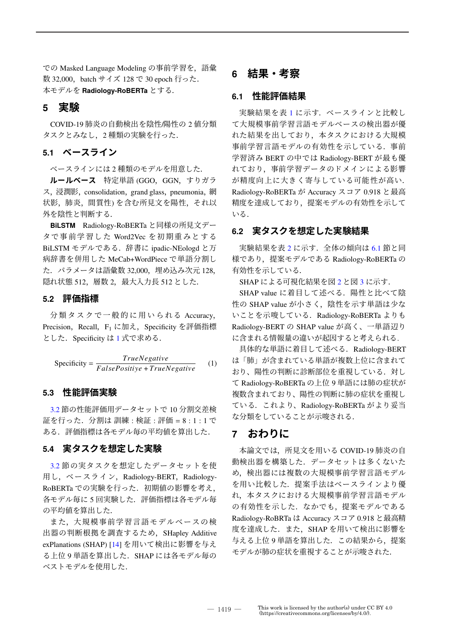での Masked Language Modeling の事前学習を,語彙 数 32,000, batch サイズ 128 で 30 epoch 行った. 本モデルを **Radiology-RoBERTa** とする.

### **5 実験**

COVID-19 肺炎の自動検出を陰性/陽性の 2 値分類 タスクとみなし,2 種類の実験を行った.

#### **5.1 ベースライン**

ベースラインには 2 種類のモデルを用意した.

**ルールベース** 特定単語 (GGO,GGN,すりガラ ス, 浸潤影, consolidation, grand glass, pneumonia, 網 状影,肺炎,間質性) を含む所見文を陽性,それ以 外を陰性と判断する.

**BiLSTM** Radiology-RoBERTa と同様の所見文デー タで事前学習した Word2Vec を初期重みとする BiLSTM モデルである. 辞書に ipadic-NEologd と万 病辞書を併用した MeCab+WordPiece で単語分割し た.パラメータは語彙数 32,000,埋め込み次元 128, 隠れ状態 512,層数 2,最大入力長 512 とした.

#### **5.2 評価指標**

分 類 タ ス ク で 一 般 的 に 用 い ら れ る Accuracy, Precision, Recall, F<sub>1</sub> に加え, Specificity を評価指標 とした. Specificity は 1 式で求める.

$$
Specificity = \frac{TrueNegative}{False Positive + TrueNegative}
$$
 (1)

#### **5.3 性能評価実験**

3.2 節の性能評価用データセットで 10 分割交差検 証を行った.分割は 訓練 : 検証 : 評価 = 8 : 1 : 1 で ある.評価指標は各モデル毎の平均値を算出した.

#### **5.4 実タスクを想定した実験**

3.2 節の実タスクを想定したデータセットを使 用し,ベースライン, Radiology-BERT, Radiology-RoBERTa での実験を行った.初期値の影響を考え, 各モデル毎に5回実験した. 評価指標は各モデル毎 の平均値を算出した.

 また,大規模事前学習言語モデルベースの検 出器の判断根拠を調査するため, SHapley Additive exPlanations (SHAP) [14] を用いて検出に影響を与え る上位9単語を算出した. SHAP には各モデル毎の ベストモデルを使用した.

### **6 結果・考察**

#### **6.1 性能評価結果**

実験結果を表1に示す.ベースラインと比較し て大規模事前学習言語モデルベースの検出器が優 れた結果を出しており,本タスクにおける大規模 事前学習言語モデルの有効性を示している.事前 学習済み BERT の中では Radiology-BERT が最も優 れており,事前学習データのドメインによる影響 が精度向上に大きく寄与している可能性が高い. Radiology-RoBERTa が Accuracy スコア 0.918 と最高 精度を達成しており,提案モデルの有効性を示して いる.

#### **6.2 実タスクを想定した実験結果**

実験結果を表2に示す. 全体の傾向は 6.1 節と同 様であり,提案モデルである Radiology-RoBERTa の 有効性を示している.

SHAP による可視化結果を図 2 と図 3 に示す.

SHAP value に着目して述べる.陽性と比べて陰 性の SHAP value が小さく、陰性を示す単語は少な いことを示唆している.Radiology-RoBERTa よりも Radiology-BERT の SHAP value が高く、一単語辺り に含まれる情報量の違いが起因すると考えられる.

具体的な単語に着目して述べる. Radiology-BERT は「肺」が含まれている単語が複数上位に含まれて おり、陽性の判断に診断部位を重視している.対し て Radiology-RoBERTa の上位 9 単語には肺の症状が 複数含まれており、陽性の判断に肺の症状を重視し ている.これより、Radiology-RoBERTa がより妥当 な分類をしていることが示唆される.

### **7 おわりに**

本論文では,所見文を用いる COVID-19 肺炎の自 動検出器を構築した.データセットは多くないた め,検出器には複数の大規模事前学習言語モデル を用い比較した.提案手法はベースラインより優 れ,本タスクにおける大規模事前学習言語モデル の有効性を示した. なかでも、提案モデルである Radiology-RoBRTa は Accuracy スコア 0.918 と最高精 度を達成した. また、SHAP を用いて検出に影響を 与える上位 9 単語を算出した. この結果から、提案 モデルが肺の症状を重視することが示唆された.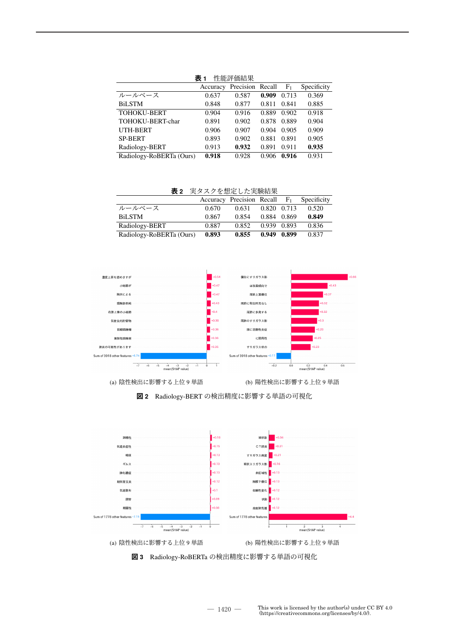|                          | 表 1<br>性能評価結果 |                  |       |                |             |  |  |
|--------------------------|---------------|------------------|-------|----------------|-------------|--|--|
|                          | Accuracy      | Precision Recall |       | F <sub>1</sub> | Specificity |  |  |
| ルールベース                   | 0.637         | 0.587            | 0.909 | 0.713          | 0.369       |  |  |
| <b>BiLSTM</b>            | 0.848         | 0.877            | 0.811 | 0.841          | 0.885       |  |  |
| <b>TOHOKU-BERT</b>       | 0.904         | 0.916            | 0.889 | 0.902          | 0.918       |  |  |
| TOHOKU-BERT-char         | 0.891         | 0.902            | 0.878 | 0.889          | 0.904       |  |  |
| <b>UTH-BERT</b>          | 0.906         | 0.907            | 0.904 | 0.905          | 0.909       |  |  |
| <b>SP-BERT</b>           | 0.893         | 0.902            | 0.881 | 0.891          | 0.905       |  |  |
| Radiology-BERT           | 0.913         | 0.932            | 0.891 | 0.911          | 0.935       |  |  |
| Radiology-RoBERTa (Ours) | 0.918         | 0.928            | 0.906 | 0.916          | 0.931       |  |  |

**表 1** 性能評価結果

**表 2** 実タスクを想定した実験結果

|                          |       | Accuracy Precision Recall $F_1$ |             | Specificity |
|--------------------------|-------|---------------------------------|-------------|-------------|
| ルールベース                   | 0.670 | 0.631                           | 0.820 0.713 | 0.520       |
| BiLSTM                   | 0.867 | 0.854                           | 0.884 0.869 | 0.849       |
| Radiology-BERT           | 0.887 | 0.852                           | 0.939 0.893 | 0.836       |
| Radiology-RoBERTa (Ours) | 0.893 | 0.855                           | 0.949 0.899 | 0.837       |



(a) 陰性検出に影響する上位 9 単語 (b) 陽性検出に影響する上位 9 単語



**図 2** Radiology-BERT の検出精度に影響する単語の可視化

**図 3** Radiology-RoBERTa の検出精度に影響する単語の可視化